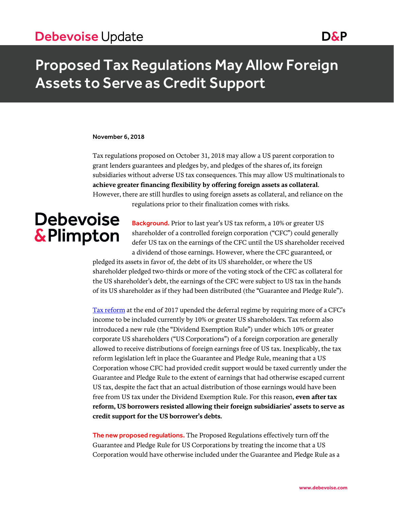### Debevoise Update Domain Contract and Dans

## Proposed Tax Regulations May Allow Foreign Assets to Serve as Credit Support

#### November 6, 2018

Tax regulations proposed on October 31, 2018 may allow a US parent corporation to grant lenders guarantees and pledges by, and pledges of the shares of, its foreign subsidiaries without adverse US tax consequences. This may allow US multinationals to **achieve greater financing flexibility by offering foreign assets as collateral**. However, there are still hurdles to using foreign assets as collateral, and reliance on the regulations prior to their finalization comes with risks.

# **Debevoise &Plimpton**

Background. Prior to last year's US tax reform, a 10% or greater US shareholder of a controlled foreign corporation ("CFC") could generally defer US tax on the earnings of the CFC until the US shareholder received a dividend of those earnings. However, where the CFC guaranteed, or

pledged its assets in favor of, the debt of its US shareholder, or where the US shareholder pledged two-thirds or more of the voting stock of the CFC as collateral for the US shareholder's debt, the earnings of the CFC were subject to US tax in the hands of its US shareholder as if they had been distributed (the "Guarantee and Pledge Rule").

[Tax reform](https://www.debevoise.com/~/media/files/insights/publications/2017/12/20171218a%20the_tax_cuts_and_jobs_act_conference_report.pdf) at the end of 2017 upended the deferral regime by requiring more of a CFC's income to be included currently by 10% or greater US shareholders. Tax reform also introduced a new rule (the "Dividend Exemption Rule") under which 10% or greater corporate US shareholders ("US Corporations") of a foreign corporation are generally allowed to receive distributions of foreign earnings free of US tax. Inexplicably, the tax reform legislation left in place the Guarantee and Pledge Rule, meaning that a US Corporation whose CFC had provided credit support would be taxed currently under the Guarantee and Pledge Rule to the extent of earnings that had otherwise escaped current US tax, despite the fact that an actual distribution of those earnings would have been free from US tax under the Dividend Exemption Rule. For this reason, **even after tax reform, US borrowers resisted allowing their foreign subsidiaries' assets to serve as credit support for the US borrower's debts.**

The new proposed regulations. The Proposed Regulations effectively turn off the Guarantee and Pledge Rule for US Corporations by treating the income that a US Corporation would have otherwise included under the Guarantee and Pledge Rule as a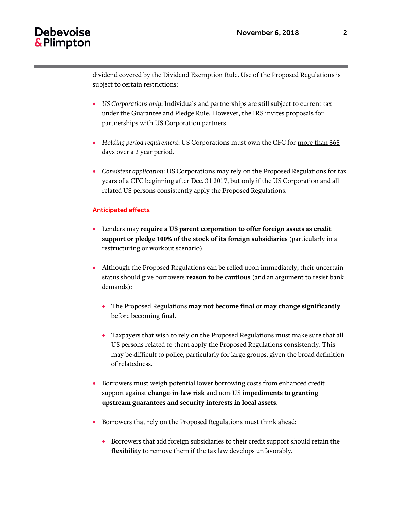### Debevoise & Plimpton

dividend covered by the Dividend Exemption Rule. Use of the Proposed Regulations is subject to certain restrictions:

- *US Corporations only*: Individuals and partnerships are still subject to current tax under the Guarantee and Pledge Rule. However, the IRS invites proposals for partnerships with US Corporation partners.
- *Holding period requirement*: US Corporations must own the CFC for more than 365 days over a 2 year period.
- *Consistent application*: US Corporations may rely on the Proposed Regulations for tax years of a CFC beginning after Dec. 31 2017, but only if the US Corporation and all related US persons consistently apply the Proposed Regulations.

### Anticipated effects

- Lenders may **require a US parent corporation to offer foreign assets as credit support or pledge 100% of the stock of its foreign subsidiaries** (particularly in a restructuring or workout scenario).
- Although the Proposed Regulations can be relied upon immediately, their uncertain status should give borrowers **reason to be cautious** (and an argument to resist bank demands):
	- The Proposed Regulations **may not become final** or **may change significantly** before becoming final.
	- Taxpayers that wish to rely on the Proposed Regulations must make sure that all US persons related to them apply the Proposed Regulations consistently. This may be difficult to police, particularly for large groups, given the broad definition of relatedness.
- Borrowers must weigh potential lower borrowing costs from enhanced credit support against **change-in-law risk** and non-US **impediments to granting upstream guarantees and security interests in local assets**.
- Borrowers that rely on the Proposed Regulations must think ahead:
	- Borrowers that add foreign subsidiaries to their credit support should retain the **flexibility** to remove them if the tax law develops unfavorably.